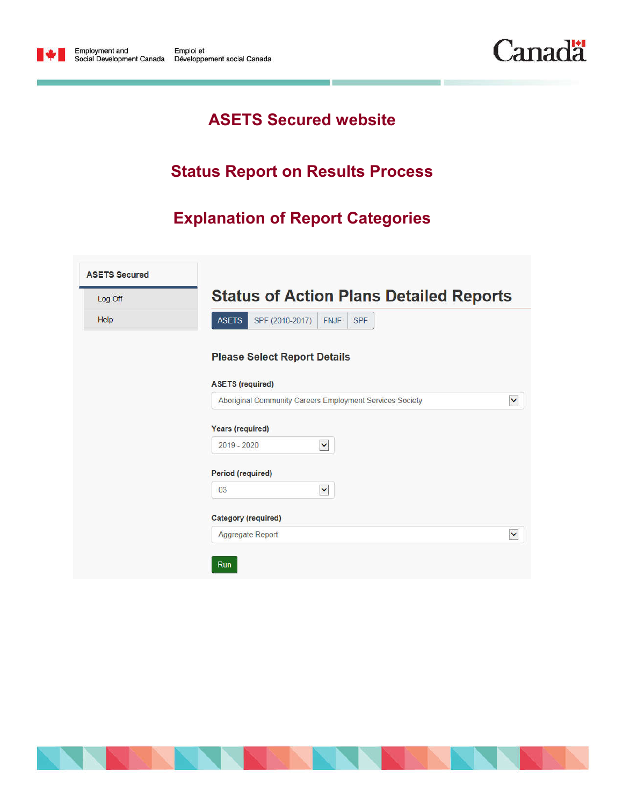



## **ASETS Secured website**

## **Status Report on Results Process**

# **Explanation of Report Categories**

| Log Off | <b>Status of Action Plans Detailed Reports</b>               |              |
|---------|--------------------------------------------------------------|--------------|
| Help    | SPF (2010-2017)<br><b>ASETS</b><br><b>FNJF</b><br><b>SPF</b> |              |
|         | <b>Please Select Report Details</b>                          |              |
|         | <b>ASETS (required)</b>                                      |              |
|         | Aboriginal Community Careers Employment Services Society     | $\checkmark$ |
|         | <b>Years (required)</b>                                      |              |
|         | $2019 - 2020$<br>$\checkmark$                                |              |
|         | <b>Period (required)</b>                                     |              |
|         | $\checkmark$<br>03                                           |              |
|         | <b>Category (required)</b>                                   |              |
|         | Aggregate Report                                             | $\checkmark$ |

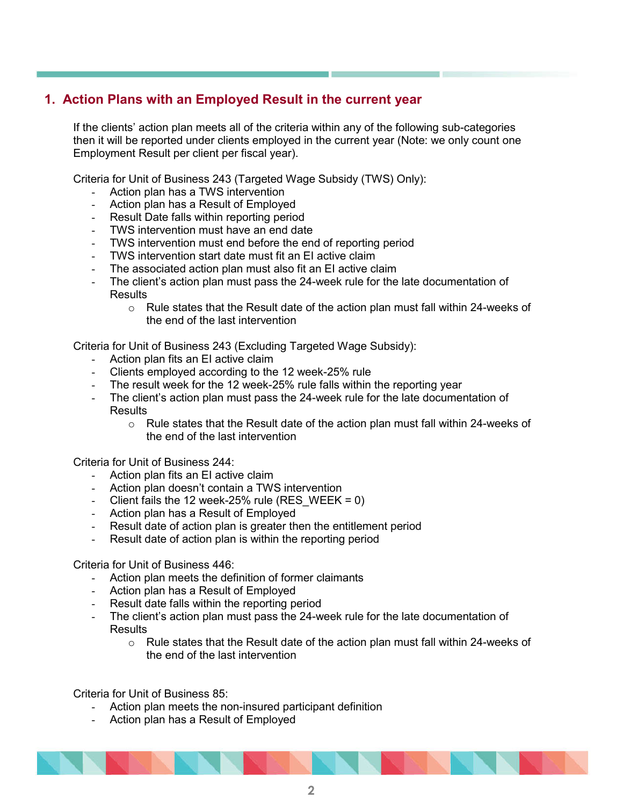## **1. Action Plans with an Employed Result in the current year**

If the clients' action plan meets all of the criteria within any of the following sub-categories then it will be reported under clients employed in the current year (Note: we only count one Employment Result per client per fiscal year).

Criteria for Unit of Business 243 (Targeted Wage Subsidy (TWS) Only):

- Action plan has a TWS intervention
- Action plan has a Result of Employed
- Result Date falls within reporting period
- TWS intervention must have an end date
- TWS intervention must end before the end of reporting period
- TWS intervention start date must fit an EI active claim
- The associated action plan must also fit an EI active claim
- The client's action plan must pass the 24-week rule for the late documentation of **Results** 
	- $\circ$  Rule states that the Result date of the action plan must fall within 24-weeks of the end of the last intervention

Criteria for Unit of Business 243 (Excluding Targeted Wage Subsidy):

- Action plan fits an EI active claim
- Clients employed according to the 12 week-25% rule
- The result week for the 12 week-25% rule falls within the reporting year
- The client's action plan must pass the 24-week rule for the late documentation of **Results** 
	- $\circ$  Rule states that the Result date of the action plan must fall within 24-weeks of the end of the last intervention

Criteria for Unit of Business 244:

- Action plan fits an EI active claim
- Action plan doesn't contain a TWS intervention
- Client fails the 12 week-25% rule (RES WEEK =  $0$ )
- Action plan has a Result of Employed
- Result date of action plan is greater then the entitlement period
- Result date of action plan is within the reporting period

Criteria for Unit of Business 446:

- Action plan meets the definition of former claimants
- Action plan has a Result of Employed
- Result date falls within the reporting period
- The client's action plan must pass the 24-week rule for the late documentation of **Results** 
	- $\circ$  Rule states that the Result date of the action plan must fall within 24-weeks of the end of the last intervention

Criteria for Unit of Business 85:

- Action plan meets the non-insured participant definition
- Action plan has a Result of Employed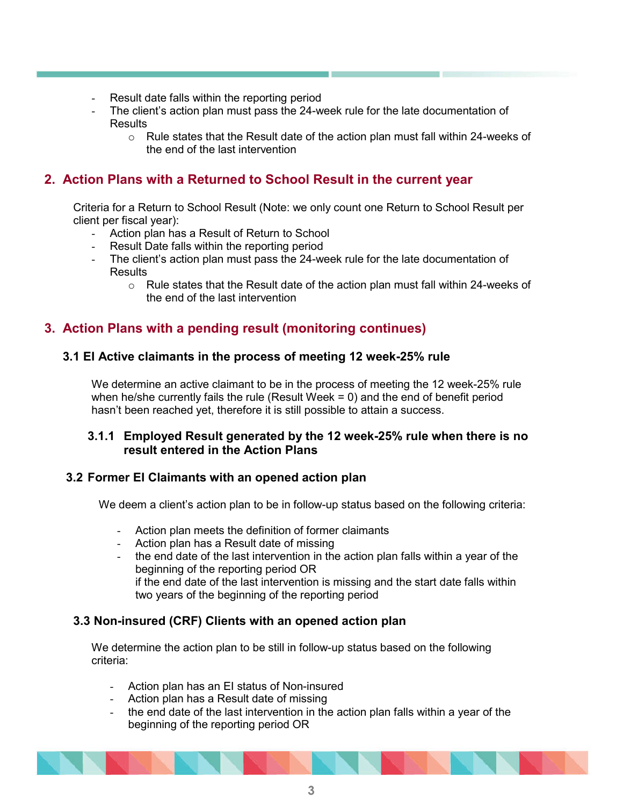- Result date falls within the reporting period
- The client's action plan must pass the 24-week rule for the late documentation of **Results** 
	- $\circ$  Rule states that the Result date of the action plan must fall within 24-weeks of the end of the last intervention

## **2. Action Plans with a Returned to School Result in the current year**

Criteria for a Return to School Result (Note: we only count one Return to School Result per client per fiscal year):

- Action plan has a Result of Return to School
- Result Date falls within the reporting period
- The client's action plan must pass the 24-week rule for the late documentation of **Results** 
	- o Rule states that the Result date of the action plan must fall within 24-weeks of the end of the last intervention

## **3. Action Plans with a pending result (monitoring continues)**

#### **3.1 EI Active claimants in the process of meeting 12 week-25% rule**

We determine an active claimant to be in the process of meeting the 12 week-25% rule when he/she currently fails the rule (Result Week = 0) and the end of benefit period hasn't been reached yet, therefore it is still possible to attain a success.

#### **3.1.1 Employed Result generated by the 12 week-25% rule when there is no result entered in the Action Plans**

#### **3.2 Former EI Claimants with an opened action plan**

We deem a client's action plan to be in follow-up status based on the following criteria:

- Action plan meets the definition of former claimants
- Action plan has a Result date of missing
- the end date of the last intervention in the action plan falls within a year of the beginning of the reporting period OR if the end date of the last intervention is missing and the start date falls within two years of the beginning of the reporting period

#### **3.3 Non-insured (CRF) Clients with an opened action plan**

We determine the action plan to be still in follow-up status based on the following criteria:

- Action plan has an EI status of Non-insured
- Action plan has a Result date of missing
- the end date of the last intervention in the action plan falls within a year of the beginning of the reporting period OR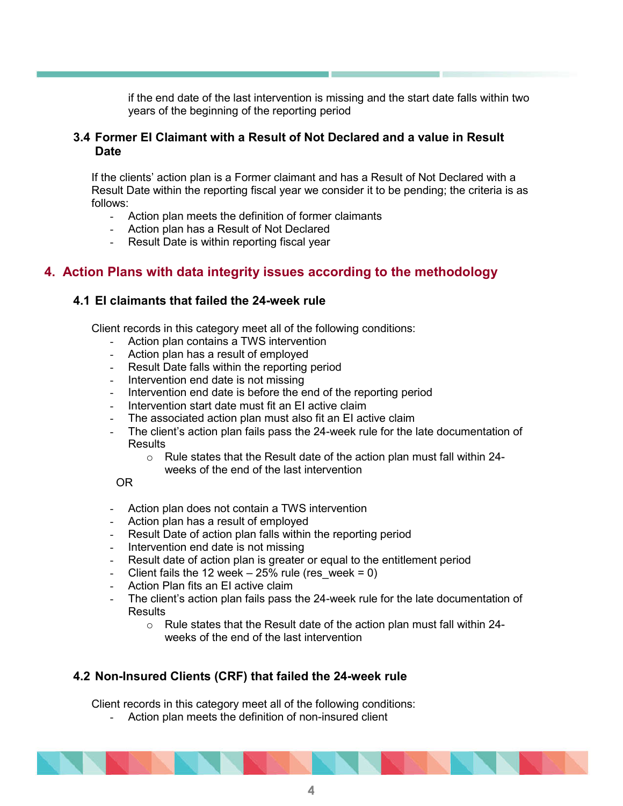if the end date of the last intervention is missing and the start date falls within two years of the beginning of the reporting period

#### **3.4 Former EI Claimant with a Result of Not Declared and a value in Result Date**

If the clients' action plan is a Former claimant and has a Result of Not Declared with a Result Date within the reporting fiscal year we consider it to be pending; the criteria is as follows:

- Action plan meets the definition of former claimants
- Action plan has a Result of Not Declared
- Result Date is within reporting fiscal year

### **4. Action Plans with data integrity issues according to the methodology**

#### **4.1 EI claimants that failed the 24-week rule**

Client records in this category meet all of the following conditions:

- Action plan contains a TWS intervention
- Action plan has a result of employed
- Result Date falls within the reporting period
- Intervention end date is not missing
- Intervention end date is before the end of the reporting period
- Intervention start date must fit an EI active claim
- The associated action plan must also fit an EI active claim
- The client's action plan fails pass the 24-week rule for the late documentation of **Results** 
	- $\circ$  Rule states that the Result date of the action plan must fall within 24
		- weeks of the end of the last intervention

#### OR

- Action plan does not contain a TWS intervention
- Action plan has a result of employed
- Result Date of action plan falls within the reporting period
- Intervention end date is not missing
- Result date of action plan is greater or equal to the entitlement period
- Client fails the 12 week  $25\%$  rule (res\_week = 0)
- Action Plan fits an EI active claim
- The client's action plan fails pass the 24-week rule for the late documentation of **Results** 
	- $\circ$  Rule states that the Result date of the action plan must fall within 24weeks of the end of the last intervention

#### **4.2 Non-Insured Clients (CRF) that failed the 24-week rule**

Client records in this category meet all of the following conditions:

Action plan meets the definition of non-insured client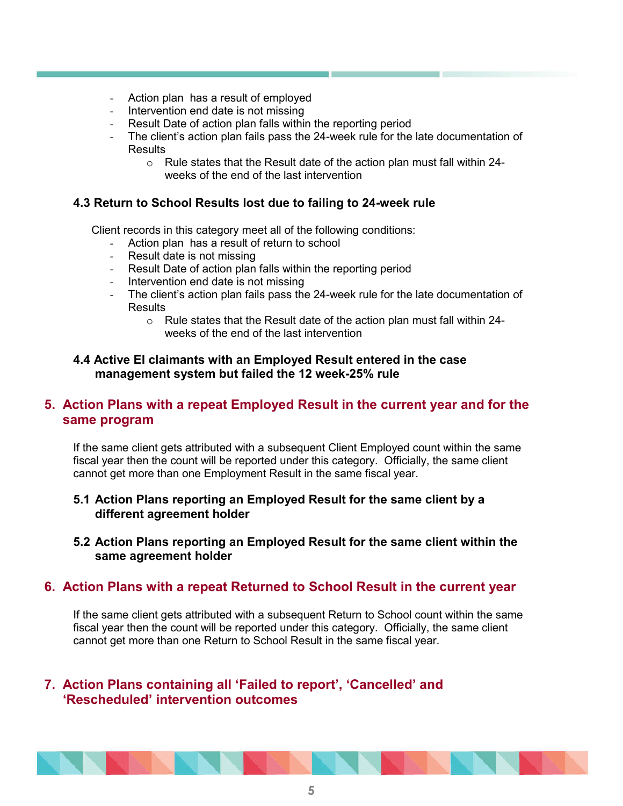- Action plan has a result of employed
- Intervention end date is not missing
- Result Date of action plan falls within the reporting period
- The client's action plan fails pass the 24-week rule for the late documentation of **Results** 
	- o Rule states that the Result date of the action plan must fall within 24 weeks of the end of the last intervention

#### **4.3 Return to School Results lost due to failing to 24-week rule**

Client records in this category meet all of the following conditions:

- Action plan has a result of return to school
- Result date is not missing
- Result Date of action plan falls within the reporting period
- Intervention end date is not missing
- The client's action plan fails pass the 24-week rule for the late documentation of **Results** 
	- o Rule states that the Result date of the action plan must fall within 24 weeks of the end of the last intervention

#### **4.4 Active EI claimants with an Employed Result entered in the case management system but failed the 12 week-25% rule**

## **5. Action Plans with a repeat Employed Result in the current year and for the same program**

If the same client gets attributed with a subsequent Client Employed count within the same fiscal year then the count will be reported under this category. Officially, the same client cannot get more than one Employment Result in the same fiscal year.

### **5.1 Action Plans reporting an Employed Result for the same client by a different agreement holder**

**5.2 Action Plans reporting an Employed Result for the same client within the same agreement holder**

## **6. Action Plans with a repeat Returned to School Result in the current year**

If the same client gets attributed with a subsequent Return to School count within the same fiscal year then the count will be reported under this category. Officially, the same client cannot get more than one Return to School Result in the same fiscal year.

## **7. Action Plans containing all 'Failed to report', 'Cancelled' and 'Rescheduled' intervention outcomes**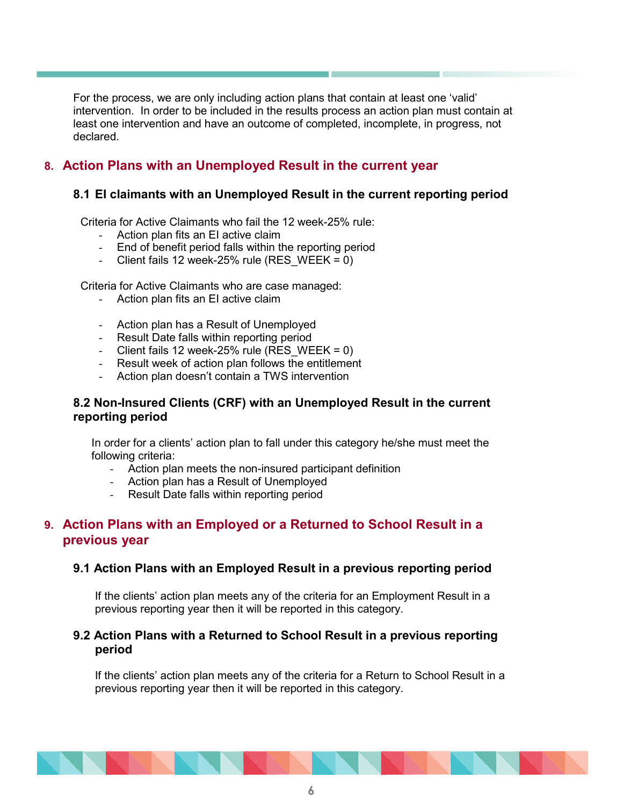For the process, we are only including action plans that contain at least one 'valid' intervention. In order to be included in the results process an action plan must contain at least one intervention and have an outcome of completed, incomplete, in progress, not declared.

## **8. Action Plans with an Unemployed Result in the current year**

#### **8.1 EI claimants with an Unemployed Result in the current reporting period**

Criteria for Active Claimants who fail the 12 week-25% rule:

- Action plan fits an EI active claim
- End of benefit period falls within the reporting period
- Client fails 12 week-25% rule (RES WEEK = 0)

Criteria for Active Claimants who are case managed:

- Action plan fits an EI active claim
- Action plan has a Result of Unemployed
- Result Date falls within reporting period
- Client fails 12 week-25% rule (RES WEEK = 0)
- Result week of action plan follows the entitlement
- Action plan doesn't contain a TWS intervention

#### **8.2 Non-Insured Clients (CRF) with an Unemployed Result in the current reporting period**

In order for a clients' action plan to fall under this category he/she must meet the following criteria:

- Action plan meets the non-insured participant definition
- Action plan has a Result of Unemployed
- Result Date falls within reporting period

## **9. Action Plans with an Employed or a Returned to School Result in a previous year**

#### **9.1 Action Plans with an Employed Result in a previous reporting period**

If the clients' action plan meets any of the criteria for an Employment Result in a previous reporting year then it will be reported in this category.

#### **9.2 Action Plans with a Returned to School Result in a previous reporting period**

If the clients' action plan meets any of the criteria for a Return to School Result in a previous reporting year then it will be reported in this category.